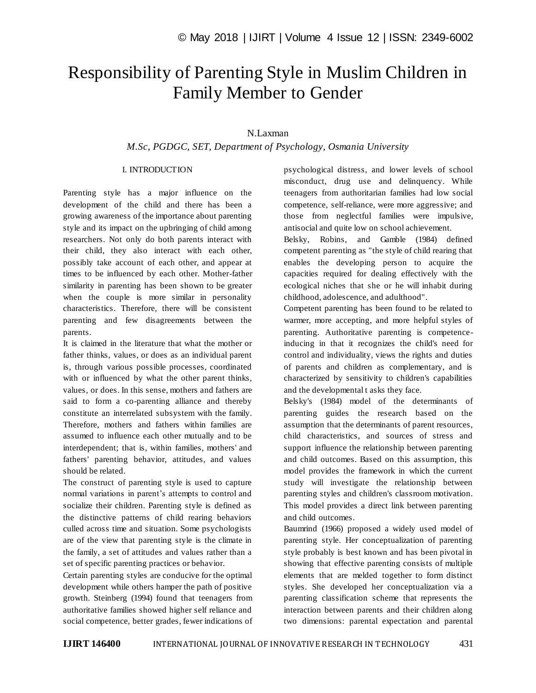# Responsibility of Parenting Style in Muslim Children in Family Member to Gender

# N.Laxman

*M.Sc, PGDGC, SET, Department of Psychology, Osmania University*

## I. INTRODUCTION

Parenting style has a major influence on the development of the child and there has been a growing awareness of the importance about parenting style and its impact on the upbringing of child among researchers. Not only do both parents interact with their child, they also interact with each other, possibly take account of each other, and appear at times to be influenced by each other. Mother-father similarity in parenting has been shown to be greater when the couple is more similar in personality characteristics. Therefore, there will be consistent parenting and few disagreements between the parents.

It is claimed in the literature that what the mother or father thinks, values, or does as an individual parent is, through various possible processes, coordinated with or influenced by what the other parent thinks, values, or does. In this sense, mothers and fathers are said to form a co-parenting alliance and thereby constitute an interrelated subsystem with the family. Therefore, mothers and fathers within families are assumed to influence each other mutually and to be interdependent; that is, within families, mothers' and fathers' parenting behavior, attitudes, and values should be related.

The construct of parenting style is used to capture normal variations in parent's attempts to control and socialize their children. Parenting style is defined as the distinctive patterns of child rearing behaviors culled across time and situation. Some psychologists are of the view that parenting style is the climate in the family, a set of attitudes and values rather than a set of specific parenting practices or behavior.

Certain parenting styles are conducive for the optimal development while others hamper the path of positive growth. Steinberg (1994) found that teenagers from authoritative families showed higher self reliance and social competence, better grades, fewer indications of psychological distress, and lower levels of school misconduct, drug use and delinquency. While teenagers from authoritarian families had low social competence, self-reliance, were more aggressive; and those from neglectful families were impulsive, antisocial and quite low on school achievement.

Belsky, Robins, and Gamble (1984) defined competent parenting as "the style of child rearing that enables the developing person to acquire the capacities required for dealing effectively with the ecological niches that she or he will inhabit during childhood, adolescence, and adulthood".

Competent parenting has been found to be related to warmer, more accepting, and more helpful styles of parenting. Authoritative parenting is competenceinducing in that it recognizes the child's need for control and individuality, views the rights and duties of parents and children as complementary, and is characterized by sensitivity to children's capabilities and the developmental t asks they face.

Belsky's (1984) model of the determinants of parenting guides the research based on the assumption that the determinants of parent resources, child characteristics, and sources of stress and support influence the relationship between parenting and child outcomes. Based on this assumption, this model provides the framework in which the current study will investigate the relationship between parenting styles and children's classroom motivation. This model provides a direct link between parenting and child outcomes.

Baumrind (1966) proposed a widely used model of parenting style. Her conceptualization of parenting style probably is best known and has been pivotal in showing that effective parenting consists of multiple elements that are melded together to form distinct styles. She developed her conceptualization via a parenting classification scheme that represents the interaction between parents and their children along two dimensions: parental expectation and parental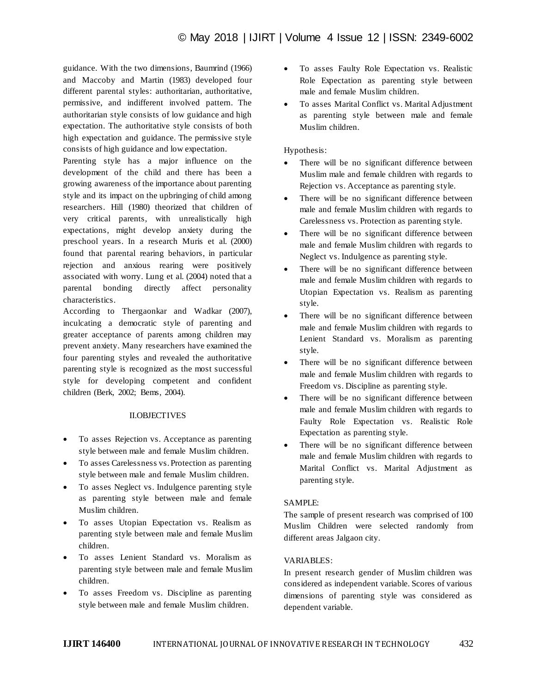guidance. With the two dimensions, Baumrind (1966) and Maccoby and Martin (1983) developed four different parental styles: authoritarian, authoritative, permissive, and indifferent involved pattern. The authoritarian style consists of low guidance and high expectation. The authoritative style consists of both high expectation and guidance. The permissive style consists of high guidance and low expectation.

Parenting style has a major influence on the development of the child and there has been a growing awareness of the importance about parenting style and its impact on the upbringing of child among researchers. Hill (1980) theorized that children of very critical parents, with unrealistically high expectations, might develop anxiety during the preschool years. In a research Muris et al. (2000) found that parental rearing behaviors, in particular rejection and anxious rearing were positively associated with worry. Lung et al. (2004) noted that a parental bonding directly affect personality characteristics.

According to Thergaonkar and Wadkar (2007), inculcating a democratic style of parenting and greater acceptance of parents among children may prevent anxiety. Many researchers have examined the four parenting styles and revealed the authoritative parenting style is recognized as the most successful style for developing competent and confident children (Berk, 2002; Bems, 2004).

#### II.OBJECTIVES

- To asses Rejection vs. Acceptance as parenting style between male and female Muslim children.
- To asses Carelessness vs. Protection as parenting style between male and female Muslim children.
- To asses Neglect vs. Indulgence parenting style as parenting style between male and female Muslim children.
- To asses Utopian Expectation vs. Realism as parenting style between male and female Muslim children.
- To asses Lenient Standard vs. Moralism as parenting style between male and female Muslim children.
- To asses Freedom vs. Discipline as parenting style between male and female Muslim children.
- To asses Faulty Role Expectation vs. Realistic Role Expectation as parenting style between male and female Muslim children.
- To asses Marital Conflict vs. Marital Adjustment as parenting style between male and female Muslim children.

#### Hypothesis:

- There will be no significant difference between Muslim male and female children with regards to Rejection vs. Acceptance as parenting style.
- There will be no significant difference between male and female Muslim children with regards to Carelessness vs. Protection as parenting style.
- There will be no significant difference between male and female Muslim children with regards to Neglect vs. Indulgence as parenting style.
- There will be no significant difference between male and female Muslim children with regards to Utopian Expectation vs. Realism as parenting style.
- There will be no significant difference between male and female Muslim children with regards to Lenient Standard vs. Moralism as parenting style.
- There will be no significant difference between male and female Muslim children with regards to Freedom vs. Discipline as parenting style.
- There will be no significant difference between male and female Muslim children with regards to Faulty Role Expectation vs. Realistic Role Expectation as parenting style.
- There will be no significant difference between male and female Muslim children with regards to Marital Conflict vs. Marital Adjustment as parenting style.

#### SAMPLE:

The sample of present research was comprised of 100 Muslim Children were selected randomly from different areas Jalgaon city.

#### VARIABLES:

In present research gender of Muslim children was considered as independent variable. Scores of various dimensions of parenting style was considered as dependent variable.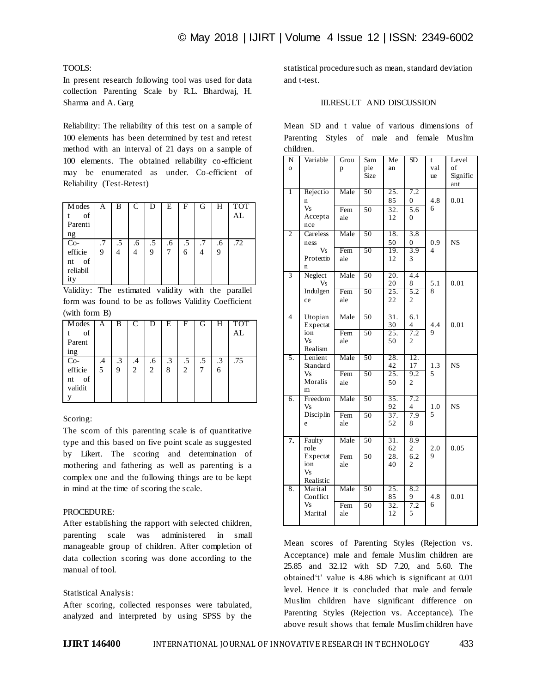## TOOLS:

In present research following tool was used for data collection Parenting Scale by R.L. Bhardwaj, H. Sharma and A. Garg

Reliability: The reliability of this test on a sample of 100 elements has been determined by test and retest method with an interval of 21 days on a sample of 100 elements. The obtained reliability co-efficient may be enumerated as under. Co-efficient of Reliability (Test-Retest)

| <b>M</b> odes  | А | В  |    | D  | Е  | F         | (ì | Н  | <b>TOT</b> |
|----------------|---|----|----|----|----|-----------|----|----|------------|
| of             |   |    |    |    |    |           |    |    | AL         |
| Parenti        |   |    |    |    |    |           |    |    |            |
| ng             |   |    |    |    |    |           |    |    |            |
| Co-<br>efficie |   | .5 | .6 | .5 | .6 | $\cdot$ 5 | .7 | .6 | .72        |
|                | 9 |    |    | 9  |    | 6         |    | q  |            |
| of<br>nt       |   |    |    |    |    |           |    |    |            |
| reliabil       |   |    |    |    |    |           |    |    |            |
| ity            |   |    |    |    |    |           |    |    |            |

Validity: The estimated validity with the parallel form was found to be as follows Validity Coefficient (with form B)

| <b>M</b> odes | А  | В         | C  |                | E         | F              | G  | Н         | <b>TOT</b> |
|---------------|----|-----------|----|----------------|-----------|----------------|----|-----------|------------|
| of            |    |           |    |                |           |                |    |           | AL         |
| Parent        |    |           |    |                |           |                |    |           |            |
| ing           |    |           |    |                |           |                |    |           |            |
| $Co-$         | .4 | $\cdot$ 3 | .4 | .6             | $\cdot$ 3 | .5             | .5 | $\cdot$ 3 | .75        |
| efficie       | 5  | 9         | 2  | $\overline{c}$ | 8         | $\overline{c}$ |    | 6         |            |
| of<br>nt      |    |           |    |                |           |                |    |           |            |
| validit       |    |           |    |                |           |                |    |           |            |
|               |    |           |    |                |           |                |    |           |            |
|               |    |           |    |                |           |                |    |           |            |

## Scoring:

The scorn of this parenting scale is of quantitative type and this based on five point scale as suggested by Likert. The scoring and determination of mothering and fathering as well as parenting is a complex one and the following things are to be kept in mind at the time of scoring the scale.

#### PROCEDURE:

After establishing the rapport with selected children, parenting scale was administered in small manageable group of children. After completion of data collection scoring was done according to the manual of tool.

## Statistical Analysis:

After scoring, collected responses were tabulated, analyzed and interpreted by using SPSS by the

statistical procedure such as mean, standard deviation and t-test.

# III.RESULT AND DISCUSSION

Mean SD and t value of various dimensions of Parenting Styles of male and female Muslim children.

| N<br>$\overline{O}$ | Variable                 | Grou<br>p | Sam<br>ple      | Me<br>an                | $\overline{\text{SD}}$         | t<br>val | Level<br>of     |
|---------------------|--------------------------|-----------|-----------------|-------------------------|--------------------------------|----------|-----------------|
|                     |                          |           | Size            |                         |                                | ue       | Signific<br>ant |
| 1                   | Rejectio<br>n            | Male      | 50              | 25.<br>85               | 7.2<br>$\overline{0}$          | 4.8      | 0.01            |
|                     | Vs                       | Fem       | 50              | 32.                     | $\overline{5.6}$               | 6        |                 |
|                     | Accepta<br>nce           | ale       |                 | 12                      | $\theta$                       |          |                 |
| 2                   | Careless                 | Male      | 50              | 18.<br>50               | 3.8<br>$\boldsymbol{0}$        | 0.9      | <b>NS</b>       |
|                     | ness<br>Vs               | Fem       | 50              | 19.                     | 3.9                            | 4        |                 |
|                     | Protectio<br>$\mathbf n$ | ale       |                 | 12                      | 3                              |          |                 |
| $\overline{3}$      | Neglect                  | Male      | 50              | 20.                     | 4.4                            |          |                 |
|                     | <b>Vs</b><br>Indulgen    | Fem       | 50              | 20<br>$\overline{25}$ . | 8<br>5.2                       | 5.1<br>8 | 0.01            |
|                     | ce                       | ale       |                 | 22                      | 2                              |          |                 |
| $\overline{4}$      | Utopian<br>Expectat      | Male      | $\overline{50}$ | $\overline{31}$ .<br>30 | 6.1<br>4                       | 4.4      | 0.01            |
|                     | ion                      | Fem       | 50              | $\overline{25}$ .       | 7.2                            | 9        |                 |
|                     | Vs<br>Realism            | ale       |                 | 50                      | $\overline{c}$                 |          |                 |
| 5.                  | Lenient<br>Standard      | Male      | 50              | 28.<br>42               | 12.<br>17                      | 1.3      | <b>NS</b>       |
|                     | Vs<br>Moralis            | Fem       | 50              | 25.                     | 9.2                            | 5        |                 |
|                     | m                        | ale       |                 | 50                      | $\overline{c}$                 |          |                 |
| 6.                  | Freedom                  | Male      | 50              | 35.                     | 7.2                            |          |                 |
|                     | Vs<br>Disciplin          | Fem       | 50              | 92<br>$\overline{37}$ . | 4<br>7.9                       | 1.0<br>5 | <b>NS</b>       |
|                     | e                        | ale       |                 | 52                      | 8                              |          |                 |
| 7.                  | <b>Faulty</b><br>role    | Male      | 50              | $\overline{31}$ .<br>62 | 8.9<br>$\overline{\mathbf{c}}$ | 2.0      | 0.05            |
|                     | Expectat                 | Fem       | 50              | 28.                     | 6.2                            | 9        |                 |
|                     | ion<br>Vs<br>Realistic   | ale       |                 | 40                      | $\overline{c}$                 |          |                 |
| 8.                  | Marital<br>Conflict      | Male      | 50              | $\overline{25}$ .<br>85 | 8.2<br>9                       | 4.8      | 0.01            |
|                     | Vs                       | Fem       | 50              | 32.                     | 7.2                            | 6        |                 |
|                     | Marital                  | ale       |                 | 12                      | 5                              |          |                 |

Mean scores of Parenting Styles (Rejection vs. Acceptance) male and female Muslim children are 25.85 and 32.12 with SD 7.20, and 5.60. The obtained't' value is 4.86 which is significant at 0.01 level. Hence it is concluded that male and female Muslim children have significant difference on Parenting Styles (Rejection vs. Acceptance). The above result shows that female Muslimchildren have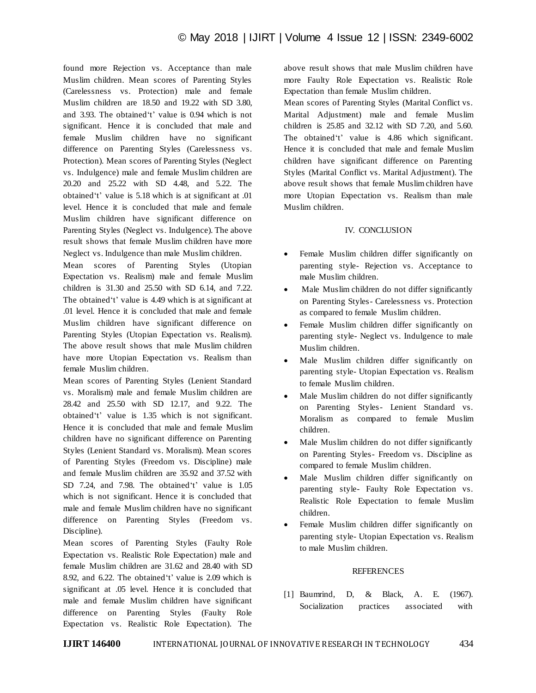found more Rejection vs. Acceptance than male Muslim children. Mean scores of Parenting Styles (Carelessness vs. Protection) male and female Muslim children are 18.50 and 19.22 with SD 3.80, and 3.93. The obtained't' value is 0.94 which is not significant. Hence it is concluded that male and female Muslim children have no significant difference on Parenting Styles (Carelessness vs. Protection). Mean scores of Parenting Styles (Neglect vs. Indulgence) male and female Muslim children are 20.20 and 25.22 with SD 4.48, and 5.22. The obtained't' value is 5.18 which is at significant at .01 level. Hence it is concluded that male and female Muslim children have significant difference on Parenting Styles (Neglect vs. Indulgence). The above result shows that female Muslim children have more Neglect vs. Indulgence than male Muslim children.

Mean scores of Parenting Styles (Utopian Expectation vs. Realism) male and female Muslim children is 31.30 and 25.50 with SD 6.14, and 7.22. The obtained't' value is 4.49 which is at significant at .01 level. Hence it is concluded that male and female Muslim children have significant difference on Parenting Styles (Utopian Expectation vs. Realism). The above result shows that male Muslim children have more Utopian Expectation vs. Realism than female Muslim children.

Mean scores of Parenting Styles (Lenient Standard vs. Moralism) male and female Muslim children are 28.42 and 25.50 with SD 12.17, and 9.22. The obtained't' value is 1.35 which is not significant. Hence it is concluded that male and female Muslim children have no significant difference on Parenting Styles (Lenient Standard vs. Moralism). Mean scores of Parenting Styles (Freedom vs. Discipline) male and female Muslim children are 35.92 and 37.52 with SD 7.24, and 7.98. The obtained't' value is 1.05 which is not significant. Hence it is concluded that male and female Muslim children have no significant difference on Parenting Styles (Freedom vs. Discipline).

Mean scores of Parenting Styles (Faulty Role Expectation vs. Realistic Role Expectation) male and female Muslim children are 31.62 and 28.40 with SD 8.92, and 6.22. The obtained't' value is 2.09 which is significant at .05 level. Hence it is concluded that male and female Muslim children have significant difference on Parenting Styles (Faulty Role Expectation vs. Realistic Role Expectation). The

above result shows that male Muslim children have more Faulty Role Expectation vs. Realistic Role Expectation than female Muslim children.

Mean scores of Parenting Styles (Marital Conflict vs. Marital Adjustment) male and female Muslim children is 25.85 and 32.12 with SD 7.20, and 5.60. The obtained't' value is 4.86 which significant. Hence it is concluded that male and female Muslim children have significant difference on Parenting Styles (Marital Conflict vs. Marital Adjustment). The above result shows that female Muslimchildren have more Utopian Expectation vs. Realism than male Muslim children.

## IV. CONCLUSION

- Female Muslim children differ significantly on parenting style- Rejection vs. Acceptance to male Muslim children.
- Male Muslim children do not differ significantly on Parenting Styles- Carelessness vs. Protection as compared to female Muslim children.
- Female Muslim children differ significantly on parenting style- Neglect vs. Indulgence to male Muslim children.
- Male Muslim children differ significantly on parenting style- Utopian Expectation vs. Realism to female Muslim children.
- Male Muslim children do not differ significantly on Parenting Styles- Lenient Standard vs. Moralism as compared to female Muslim children.
- Male Muslim children do not differ significantly on Parenting Styles- Freedom vs. Discipline as compared to female Muslim children.
- Male Muslim children differ significantly on parenting style- Faulty Role Expectation vs. Realistic Role Expectation to female Muslim children.
- Female Muslim children differ significantly on parenting style- Utopian Expectation vs. Realism to male Muslim children.

## REFERENCES

[1] Baumrind, D, & Black, A. E. (1967). Socialization practices associated with